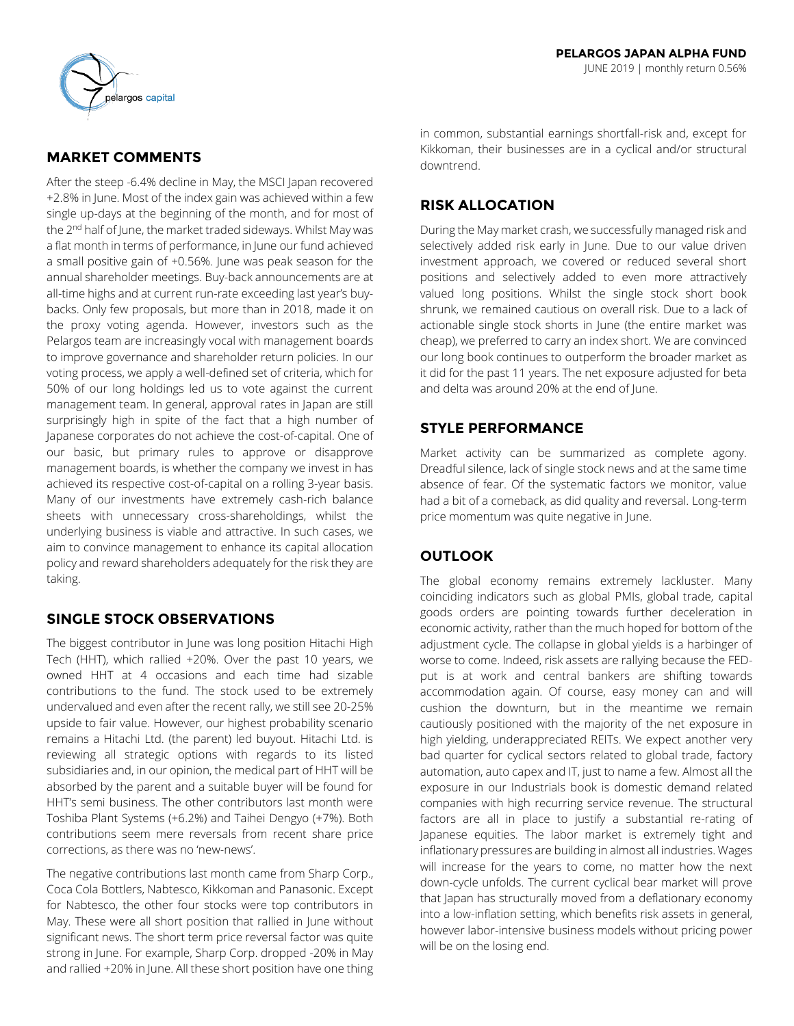

# **MARKET COMMENTS**

After the steep -6.4% decline in May, the MSCI Japan recovered +2.8% in June. Most of the index gain was achieved within a few single up-days at the beginning of the month, and for most of the 2<sup>nd</sup> half of June, the market traded sideways. Whilst May was a flat month in terms of performance, in June our fund achieved a small positive gain of +0.56%. June was peak season for the annual shareholder meetings. Buy-back announcements are at all-time highs and at current run-rate exceeding last year's buybacks. Only few proposals, but more than in 2018, made it on the proxy voting agenda. However, investors such as the Pelargos team are increasingly vocal with management boards to improve governance and shareholder return policies. In our voting process, we apply a well-defined set of criteria, which for 50% of our long holdings led us to vote against the current management team. In general, approval rates in Japan are still surprisingly high in spite of the fact that a high number of Japanese corporates do not achieve the cost-of-capital. One of our basic, but primary rules to approve or disapprove management boards, is whether the company we invest in has achieved its respective cost-of-capital on a rolling 3-year basis. Many of our investments have extremely cash-rich balance sheets with unnecessary cross-shareholdings, whilst the underlying business is viable and attractive. In such cases, we aim to convince management to enhance its capital allocation policy and reward shareholders adequately for the risk they are taking.

## **SINGLE STOCK OBSERVATIONS**

The biggest contributor in June was long position Hitachi High Tech (HHT), which rallied +20%. Over the past 10 years, we owned HHT at 4 occasions and each time had sizable contributions to the fund. The stock used to be extremely undervalued and even after the recent rally, we still see 20-25% upside to fair value. However, our highest probability scenario remains a Hitachi Ltd. (the parent) led buyout. Hitachi Ltd. is reviewing all strategic options with regards to its listed subsidiaries and, in our opinion, the medical part of HHT will be absorbed by the parent and a suitable buyer will be found for HHT's semi business. The other contributors last month were Toshiba Plant Systems (+6.2%) and Taihei Dengyo (+7%). Both contributions seem mere reversals from recent share price corrections, as there was no 'new-news'.

The negative contributions last month came from Sharp Corp., Coca Cola Bottlers, Nabtesco, Kikkoman and Panasonic. Except for Nabtesco, the other four stocks were top contributors in May. These were all short position that rallied in June without significant news. The short term price reversal factor was quite strong in June. For example, Sharp Corp. dropped -20% in May and rallied +20% in June. All these short position have one thing in common, substantial earnings shortfall-risk and, except for Kikkoman, their businesses are in a cyclical and/or structural downtrend.

# **RISK ALLOCATION**

During the May market crash, we successfully managed risk and selectively added risk early in June. Due to our value driven investment approach, we covered or reduced several short positions and selectively added to even more attractively valued long positions. Whilst the single stock short book shrunk, we remained cautious on overall risk. Due to a lack of actionable single stock shorts in June (the entire market was cheap), we preferred to carry an index short. We are convinced our long book continues to outperform the broader market as it did for the past 11 years. The net exposure adjusted for beta and delta was around 20% at the end of June.

# **STYLE PERFORMANCE**

Market activity can be summarized as complete agony. Dreadful silence, lack of single stock news and at the same time absence of fear. Of the systematic factors we monitor, value had a bit of a comeback, as did quality and reversal. Long-term price momentum was quite negative in June.

# **OUTLOOK**

The global economy remains extremely lackluster. Many coinciding indicators such as global PMIs, global trade, capital goods orders are pointing towards further deceleration in economic activity, rather than the much hoped for bottom of the adjustment cycle. The collapse in global yields is a harbinger of worse to come. Indeed, risk assets are rallying because the FEDput is at work and central bankers are shifting towards accommodation again. Of course, easy money can and will cushion the downturn, but in the meantime we remain cautiously positioned with the majority of the net exposure in high yielding, underappreciated REITs. We expect another very bad quarter for cyclical sectors related to global trade, factory automation, auto capex and IT, just to name a few. Almost all the exposure in our Industrials book is domestic demand related companies with high recurring service revenue. The structural factors are all in place to justify a substantial re-rating of Japanese equities. The labor market is extremely tight and inflationary pressures are building in almost all industries. Wages will increase for the years to come, no matter how the next down-cycle unfolds. The current cyclical bear market will prove that Japan has structurally moved from a deflationary economy into a low-inflation setting, which benefits risk assets in general, however labor-intensive business models without pricing power will be on the losing end.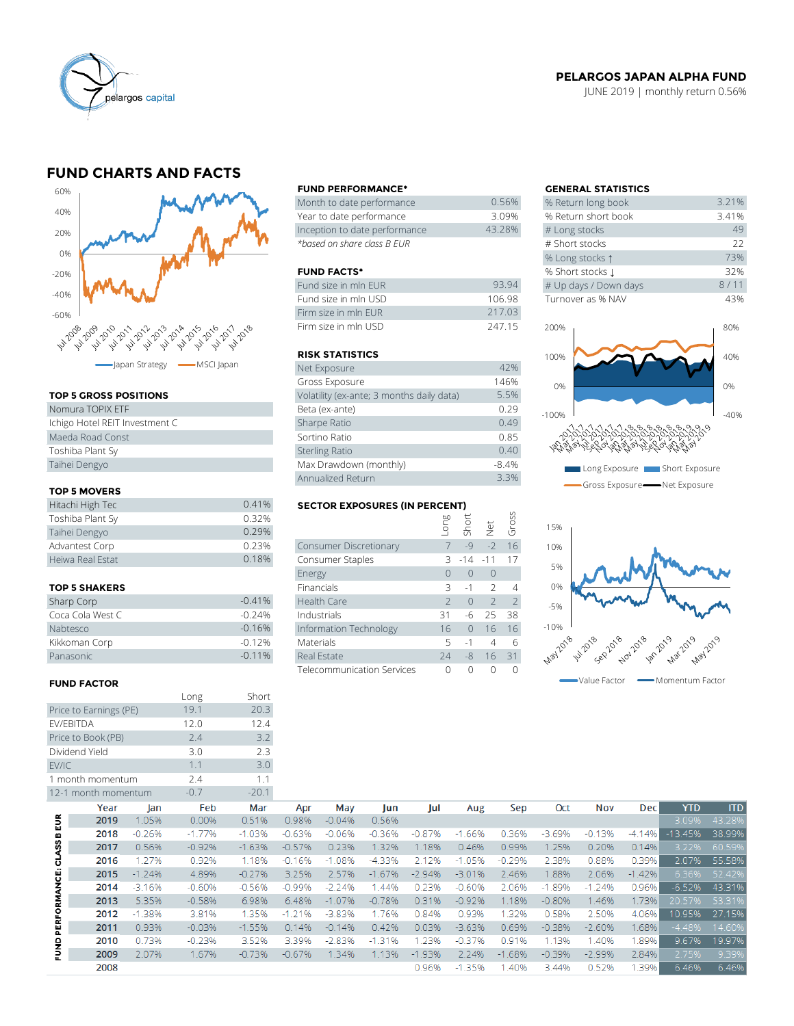

## **PELARGOS JAPAN ALPHA FUND**

JUNE 2019 | monthly return 0.56%

## **FUND CHARTS AND FACTS**



### **TOP 5 GROSS POSITIONS**

| Nomura TOPIX ETF               | Beta (ex-ante)         |
|--------------------------------|------------------------|
| Ichigo Hotel REIT Investment C | Sharpe Ratio           |
| Maeda Road Const               | Sortino Ratio          |
| Toshiba Plant Sy               | <b>Sterling Ratio</b>  |
| Taihei Dengyo                  | Max Drawdown (monthly) |
|                                |                        |

## **TOP 5 MOVERS**

| Taihei Dengyo       |       | Max Drawdown (monthly)               |      |      |                         | $-8.4%$ |
|---------------------|-------|--------------------------------------|------|------|-------------------------|---------|
|                     |       | Annualized Return                    |      |      |                         | 3.3%    |
| <b>TOP 5 MOVERS</b> |       |                                      |      |      |                         |         |
| Hitachi High Tec    | 0.41% | <b>SECTOR EXPOSURES (IN PERCENT)</b> |      |      |                         |         |
| Toshiba Plant Sy    | 0.32% |                                      | Buo- |      | short<br>Short<br>Gross |         |
| Taihei Dengyo       | 0.29% |                                      |      |      |                         |         |
| Advantest Corp      | 0.23% | Consumer Discretionary               |      | $-9$ | $-2$                    | 16      |
| Heiwa Real Estat    | 0.18% | Consumer Staples                     |      |      | $3 - 14 - 11$ 17        |         |
|                     |       |                                      |      |      |                         |         |

#### **TOP 5 SHAKERS**

| Sharp Corp       | $-0.41%$  |
|------------------|-----------|
| Coca Cola West C | $-0.24%$  |
| Nabtesco         | $-0.16%$  |
| Kikkoman Corp    | $-0.12%$  |
| Panasonic        | $-0.11\%$ |

### **FUND FACTOR**

|                         |                        |          | Long     | Short    |
|-------------------------|------------------------|----------|----------|----------|
|                         | Price to Earnings (PE) |          | 19.1     | 20.3     |
|                         | EV/EBITDA              |          | 12.0     | 12.4     |
|                         | Price to Book (PB)     |          | 2.4      | 3.2      |
|                         | Dividend Yield         |          | 3.0      | 2.3      |
| EV/IC                   |                        |          | 1.1      | 3.0      |
|                         | 1 month momentum       |          | 2.4      | 1.1      |
|                         | 12-1 month momentum    |          | $-0.7$   | $-20.1$  |
|                         | Year                   | lan      | Feb      | Mar      |
|                         | 2019                   | 1.05%    | 0.00%    | 0.51%    |
|                         | 2018                   | $-0.26%$ | $-1.77%$ | $-1.03%$ |
|                         | 2017                   | 0.56%    | $-0.92%$ | $-1.63%$ |
|                         | 2016                   | 1.27%    | 0.92%    | 1.18%    |
|                         | 2015                   | $-1.24%$ | 4.89%    | $-0.27%$ |
|                         | 2014                   | $-3.16%$ | $-0.60%$ | $-0.56%$ |
|                         | 2013                   | 5.35%    | $-0.58%$ | 6.98%    |
| ERFORMANCE: CLASS B EUR | 2012                   | $-1.38%$ | 3.81%    | 1.35%    |
|                         | 2011                   | 0.93%    | $-0.03%$ | $-1.55%$ |

#### **FUND PERFORMANCE\* GENERAL STATISTICS**

| Month to date performance     | 0.56%  | % Return long book  |
|-------------------------------|--------|---------------------|
| Year to date performance      | 3.09%  | % Return short book |
| Inception to date performance | 43.28% | # Long stocks       |
| *based on share class B EUR   |        | # Short stocks      |

## **FUND FACTS\***

| Fund size in mln EUR | 93.94  | # Up days / Down days |
|----------------------|--------|-----------------------|
| Fund size in mln USD | 106.98 | Turnover as % NAV     |
| Firm size in mln EUR | 217.03 |                       |
| Firm size in mln USD | 24715  | 200%                  |

#### **RISK STATISTICS**

| Net Exposure                              | 42%     |
|-------------------------------------------|---------|
| Gross Exposure                            | 146%    |
| Volatility (ex-ante; 3 months daily data) | 5.5%    |
| Beta (ex-ante)                            | 0.29    |
| Sharpe Ratio                              | 0.49    |
| Sortino Ratio                             | 0.85    |
| <b>Sterling Ratio</b>                     | 0.40    |
| Max Drawdown (monthly)                    | $-8.4%$ |
| Annualized Return                         | 3.3%    |

## **SECTOR EXPOSURES (IN PERCENT)**

|                      | Annualized Return |                                      |               |           |                | 3.3%  |  |
|----------------------|-------------------|--------------------------------------|---------------|-----------|----------------|-------|--|
| <b>TOP 5 MOVERS</b>  |                   |                                      |               |           |                |       |  |
| Hitachi High Tec     | 0.41%             | <b>SECTOR EXPOSURES (IN PERCENT)</b> |               |           |                |       |  |
| Toshiba Plant Sy     | 0.32%             |                                      | guo-          |           |                | Gross |  |
| Taihei Dengyo        | 0.29%             |                                      |               | Short     | $\frac{1}{2}$  |       |  |
| Advantest Corp       | 0.23%             | Consumer Discretionary               | $7 -$         | $-9$      | $-2$           | 16    |  |
| Heiwa Real Estat     | 0.18%             | Consumer Staples                     |               | $3 - 14$  | $-11$          | 17    |  |
|                      |                   | Energy                               | $\Omega$      | $\bigcap$ | $\overline{0}$ |       |  |
| <b>TOP 5 SHAKERS</b> |                   | <b>Financials</b>                    | 3             | $-1$      | $\mathcal{L}$  | 4     |  |
| Sharp Corp           | $-0.41%$          | Health Care                          | $\mathcal{P}$ | $\bigcap$ | $\mathcal{L}$  | 2     |  |
| Coca Cola West C     | $-0.24%$          | Industrials                          | 31            | -6        | 25             | 38    |  |
| Nabtesco             | $-0.16%$          | Information Technology               | 16            | $\Omega$  | 16             | 16    |  |
| Kikkoman Corp        | $-0.12%$          | Materials                            | 5.            | $-1$      | $\overline{4}$ | 6     |  |
| Panasonic            | $-0.11%$          | Real Estate                          | 74            | $-8$      | 16             | 31    |  |
|                      |                   | Telecommunication Services           | 0             | $\Omega$  | $\bigcap$      | ∩     |  |
|                      |                   |                                      |               |           |                |       |  |

| <b>GENERAL STATISTICS</b> |       |
|---------------------------|-------|
| % Return long book        | 3.21% |
| % Return short book       | 3.41% |
| # Long stocks             | 49    |
| # Short stocks            | 22    |
| % Long stocks 1           | 73%   |
| % Short stocks J          | 32%   |
| # Up days / Down days     | 8/11  |
| Turnover as % NAV         | 43%   |





|                     | 2-1 month momentum |          | $-U.7$   | $-ZU.1$  |          |          |          |          |          |          |          |          |            |            |            |
|---------------------|--------------------|----------|----------|----------|----------|----------|----------|----------|----------|----------|----------|----------|------------|------------|------------|
|                     | Year               | lan      | Feb      | Mar      | Apr      | May      | Jun      | Jul      | Aug      | Sep      | Oct      | Nov      | <b>Dec</b> | <b>YTD</b> | <b>ITD</b> |
| <b>BEUR</b>         | 2019               | 1.05%    | 0.00%    | 0.51%    | 0.98%    | $-0.04%$ | 0.56%    |          |          |          |          |          |            | 3.09%      | 43.28%     |
|                     | 2018               | $-0.26%$ | $-1.77%$ | $-1.03%$ | $-0.63%$ | $-0.06%$ | $-0.36%$ | $-0.87%$ | $-1.66%$ | 0.36%    | $-3.69%$ | $-0.13%$ | $-4.14%$   | $-13.45%$  | 38.99%     |
| ASS                 | 2017               | 0.56%    | $-0.92%$ | $-1.63%$ | $-0.57%$ | 0.23%    | 1.32%    | 1.18%    | 0.46%    | 0.99%    | 1.25%    | 0.20%    | 0.14%      | 3.22%      | 60.59%     |
| 긍                   | 2016               | 1.27%    | 0.92%    | 1.18%    | $-0.16%$ | $-1.08%$ | $-4.33%$ | 2.12%    | $-1.05%$ | $-0.29%$ | 2.38%    | 0.88%    | 0.39%      | 2.07%      | 55.58%     |
| <b>PERFORMANCE:</b> | 2015               | $-1.24%$ | 4.89%    | $-0.27%$ | 3.25%    | 2.57%    | $-1.67%$ | $-2.94%$ | $-3.01%$ | 2.46%    | .88%     | 2.06%    | $-1.42%$   | 6.36%      | 52.42%     |
|                     | 2014               | $-3.16%$ | $-0.60%$ | $-0.56%$ | $-0.99%$ | $-2.24%$ | .44%     | 0.23%    | $-0.60%$ | 2.06%    | $-1.89%$ | $-1.24%$ | 0.96%      | $-6.52%$   | 43.31%     |
|                     | 2013               | 5.35%    | $-0.58%$ | 6.98%    | 6.48%    | $-1.07%$ | $-0.78%$ | 0.31%    | $-0.92%$ | 1.18%    | $-0.80%$ | 1.46%    | 1.73%      | 20.57%     | 53.31%     |
|                     | 2012               | $-1.38%$ | 3.81%    | 1.35%    | $-1.21%$ | $-3.83%$ | 1.76%    | 0.84%    | 0.93%    | 1.32%    | 0.58%    | 2.50%    | 4.06%      | 10.95%     | 27.15%     |
|                     | 2011               | 0.93%    | $-0.03%$ | $-1.55%$ | 0.14%    | $-0.14%$ | 0.42%    | 0.03%    | $-3.63%$ | 0.69%    | $-0.38%$ | $-2.60%$ | 1.68%      | $-4.48%$   | 14.60%     |
|                     | 2010               | 0.73%    | $-0.23%$ | 3.52%    | 3.39%    | $-2.83%$ | $-1.31%$ | 1.23%    | $-0.37%$ | 0.91%    | 1.13%    | 1.40%    | .89%       | 9.67%      | 19.97%     |
| ENND                | 2009               | 2.07%    | 1.67%    | $-0.73%$ | $-0.67%$ | 1.34%    | 1.13%    | $-1.93%$ | 2.24%    | $-1.68%$ | $-0.39%$ | $-2.99%$ | 2.84%      | 2.75%      | 9.39%      |
|                     | 2008               |          |          |          |          |          |          | 0.96%    | $-1.35%$ | .40%     | 3.44%    | 0.52%    | 1.39%      | 6.46%      | 6.46%      |